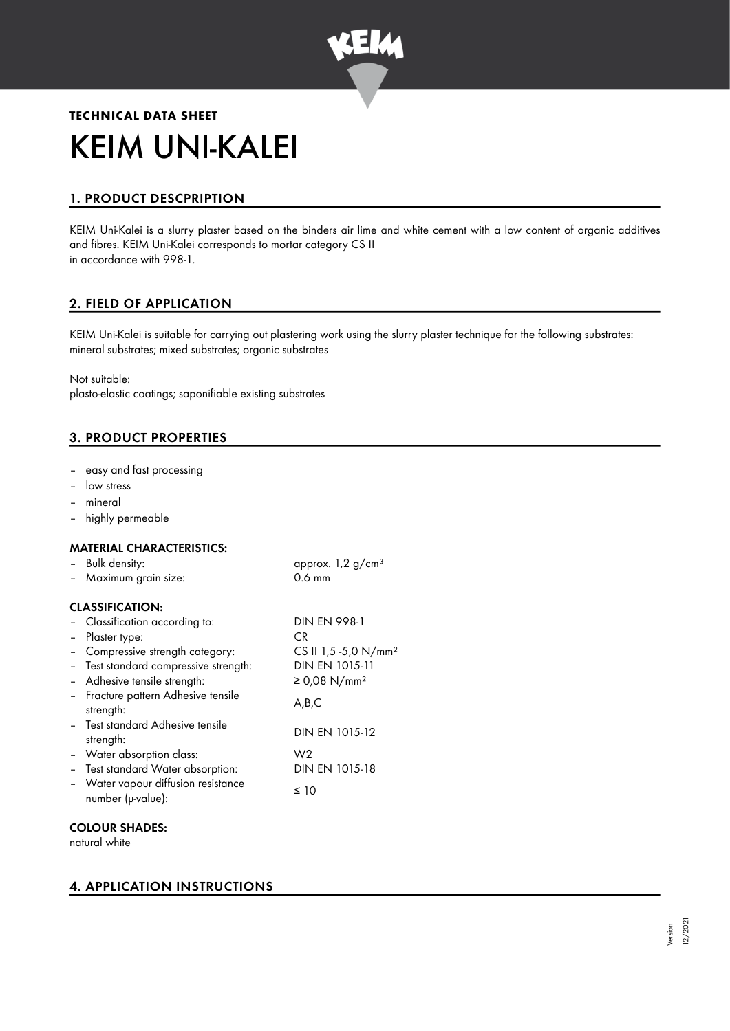

# **TECHNICAL DATA SHEET** KEIM UNI-KALEI

# 1. PRODUCT DESCPRIPTION

KEIM Uni-Kalei is a slurry plaster based on the binders air lime and white cement with a low content of organic additives and fibres. KEIM Uni-Kalei corresponds to mortar category CS II in accordance with 998-1.

# 2. FIELD OF APPLICATION

KEIM Uni-Kalei is suitable for carrying out plastering work using the slurry plaster technique for the following substrates: mineral substrates; mixed substrates; organic substrates

Not suitable:

plasto-elastic coatings; saponifiable existing substrates

# 3. PRODUCT PROPERTIES

- easy and fast processing
- low stress
- mineral
- highly permeable

## MATERIAL CHARACTERISTICS:

| - Bulk density:                                          | approx. $1,2$ g/cm <sup>3</sup>  |
|----------------------------------------------------------|----------------------------------|
| - Maximum grain size:                                    | $0.6$ mm                         |
| <b>CLASSIFICATION:</b>                                   |                                  |
| - Classification according to:                           | <b>DIN EN 998-1</b>              |
| - Plaster type:                                          | CR.                              |
| - Compressive strength category:                         | CS II 1,5 -5,0 N/mm <sup>2</sup> |
| - Test standard compressive strength:                    | DIN EN 1015-11                   |
| - Adhesive tensile strength:                             | ≥ 0,08 N/mm <sup>2</sup>         |
| - Fracture pattern Adhesive tensile<br>strength:         | A,B,C                            |
| - Test standard Adhesive tensile<br>strength:            | DIN EN 1015-12                   |
| - Water absorption class:                                | W <sub>2</sub>                   |
| - Test standard Water absorption:                        | DIN EN 1015-18                   |
| - Water vapour diffusion resistance<br>number (µ-value): | ≤ 10                             |

## COLOUR SHADES:

natural white

# 4. APPLICATION INSTRUCTIONS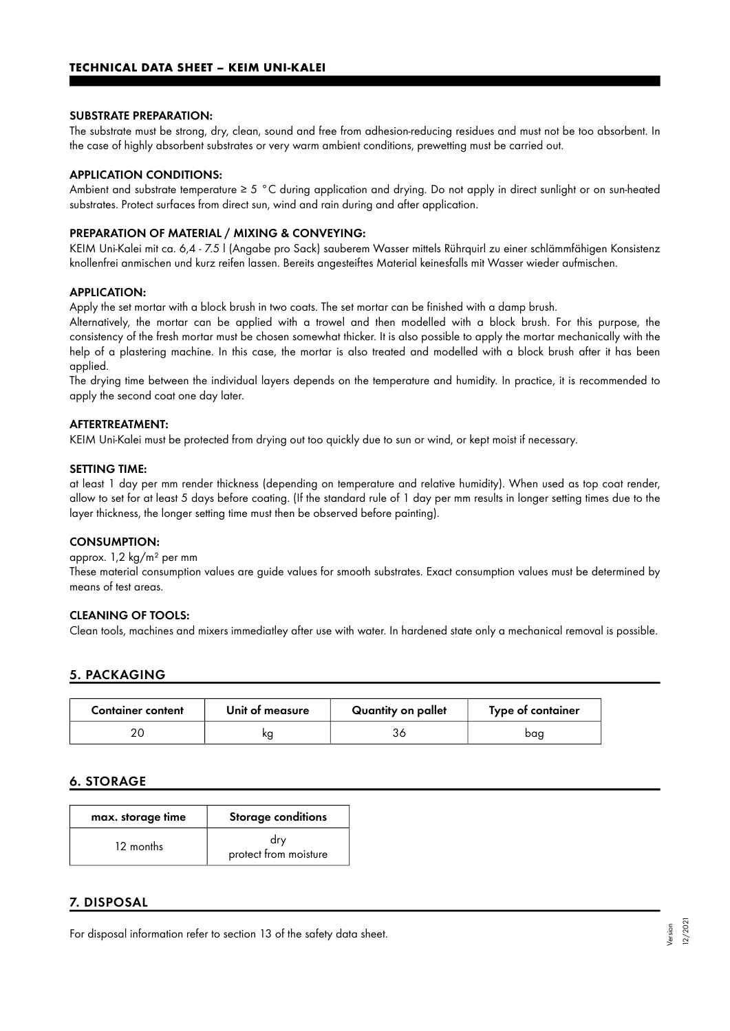#### SUBSTRATE PREPARATION:

The substrate must be strong, dry, clean, sound and free from adhesion-reducing residues and must not be too absorbent. In the case of highly absorbent substrates or very warm ambient conditions, prewetting must be carried out.

### APPLICATION CONDITIONS:

Ambient and substrate temperature ≥ 5 °C during application and drying. Do not apply in direct sunlight or on sun-heated substrates. Protect surfaces from direct sun, wind and rain during and after application.

#### PREPARATION OF MATERIAL / MIXING & CONVEYING:

KEIM Uni-Kalei mit ca. 6,4 - 7.5 l (Angabe pro Sack) sauberem Wasser mittels Rührquirl zu einer schlämmfähigen Konsistenz knollenfrei anmischen und kurz reifen lassen. Bereits angesteiftes Material keinesfalls mit Wasser wieder aufmischen.

### APPLICATION:

Apply the set mortar with a block brush in two coats. The set mortar can be finished with a damp brush.

Alternatively, the mortar can be applied with a trowel and then modelled with a block brush. For this purpose, the consistency of the fresh mortar must be chosen somewhat thicker. It is also possible to apply the mortar mechanically with the help of a plastering machine. In this case, the mortar is also treated and modelled with a block brush after it has been applied.

The drying time between the individual layers depends on the temperature and humidity. In practice, it is recommended to apply the second coat one day later.

## AFTERTREATMENT:

KEIM Uni-Kalei must be protected from drying out too quickly due to sun or wind, or kept moist if necessary.

#### SETTING TIME:

at least 1 day per mm render thickness (depending on temperature and relative humidity). When used as top coat render, allow to set for at least 5 days before coating. (If the standard rule of 1 day per mm results in longer setting times due to the layer thickness, the longer setting time must then be observed before painting).

#### CONSUMPTION:

#### approx. 1,2 kg/m² per mm

These material consumption values are guide values for smooth substrates. Exact consumption values must be determined by means of test areas.

#### CLEANING OF TOOLS:

Clean tools, machines and mixers immediatley after use with water. In hardened state only a mechanical removal is possible.

## 5. PACKAGING

| <b>Container content</b> | Unit of measure | Quantity on pallet | Type of container |
|--------------------------|-----------------|--------------------|-------------------|
|                          | κg              |                    | baq               |

## 6. STORAGE

| max. storage time | Storage conditions           |
|-------------------|------------------------------|
| 12 months         | drv<br>protect from moisture |

## 7. DISPOSAL

For disposal information refer to section 13 of the safety data sheet.